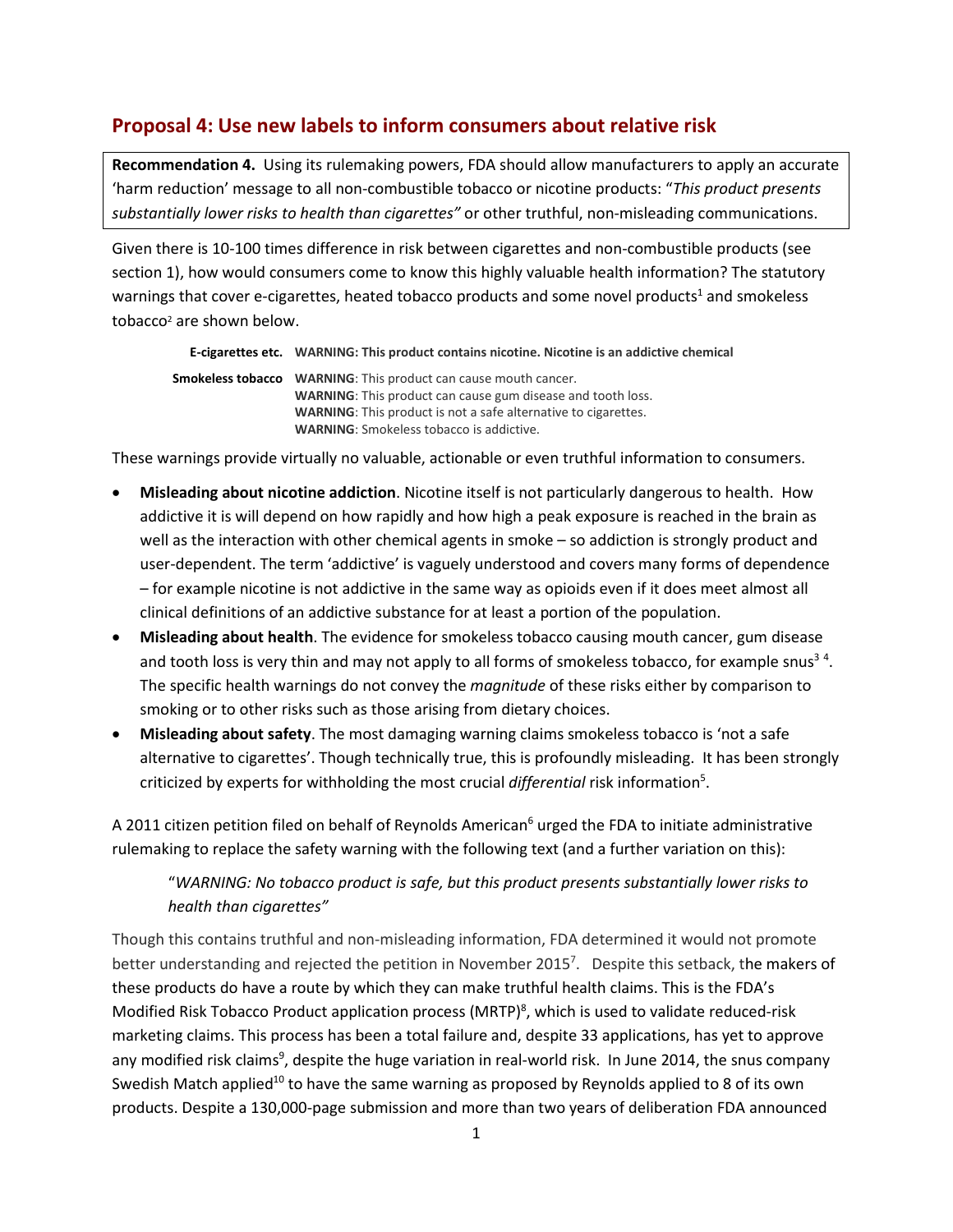## **Proposal 4: Use new labels to inform consumers about relative risk**

**Recommendation 4.** Using its rulemaking powers, FDA should allow manufacturers to apply an accurate 'harm reduction' message to all non-combustible tobacco or nicotine products: "*This product presents substantially lower risks to health than cigarettes"* or other truthful, non-misleading communications.

Given there is 10-100 times difference in risk between cigarettes and non-combustible products (see section 1), how would consumers come to know this highly valuable health information? The statutory warnings that cover e-cigarettes, heated tobacco products and some novel products<sup>1</sup> and smokeless tobacco2 are shown below.

```
E-cigarettes etc. WARNING: This product contains nicotine. Nicotine is an addictive chemical
Smokeless tobacco WARNING: This product can cause mouth cancer.
                    WARNING: This product can cause gum disease and tooth loss.
                    WARNING: This product is not a safe alternative to cigarettes.
                    WARNING: Smokeless tobacco is addictive.
```
These warnings provide virtually no valuable, actionable or even truthful information to consumers.

- **Misleading about nicotine addiction**. Nicotine itself is not particularly dangerous to health. How addictive it is will depend on how rapidly and how high a peak exposure is reached in the brain as well as the interaction with other chemical agents in smoke – so addiction is strongly product and user-dependent. The term 'addictive' is vaguely understood and covers many forms of dependence – for example nicotine is not addictive in the same way as opioids even if it does meet almost all clinical definitions of an addictive substance for at least a portion of the population.
- **Misleading about health**. The evidence for smokeless tobacco causing mouth cancer, gum disease and tooth loss is very thin and may not apply to all forms of smokeless tobacco, for example snus<sup>34</sup>. The specific health warnings do not convey the *magnitude* of these risks either by comparison to smoking or to other risks such as those arising from dietary choices.
- **Misleading about safety**. The most damaging warning claims smokeless tobacco is 'not a safe alternative to cigarettes'. Though technically true, this is profoundly misleading. It has been strongly criticized by experts for withholding the most crucial *differential* risk information<sup>5</sup>.

A 2011 citizen petition filed on behalf of Reynolds American<sup>6</sup> urged the FDA to initiate administrative rulemaking to replace the safety warning with the following text (and a further variation on this):

"*WARNING: No tobacco product is safe, but this product presents substantially lower risks to health than cigarettes"*

Though this contains truthful and non-misleading information, FDA determined it would not promote better understanding and rejected the petition in November 2015<sup>7</sup>. Despite this setback, the makers of these products do have a route by which they can make truthful health claims. This is the FDA's Modified Risk Tobacco Product application process (MRTP)<sup>8</sup>, which is used to validate reduced-risk marketing claims. This process has been a total failure and, despite 33 applications, has yet to approve any modified risk claims<sup>9</sup>, despite the huge variation in real-world risk. In June 2014, the snus company Swedish Match applied<sup>10</sup> to have the same warning as proposed by Reynolds applied to 8 of its own products. Despite a 130,000-page submission and more than two years of deliberation FDA announced